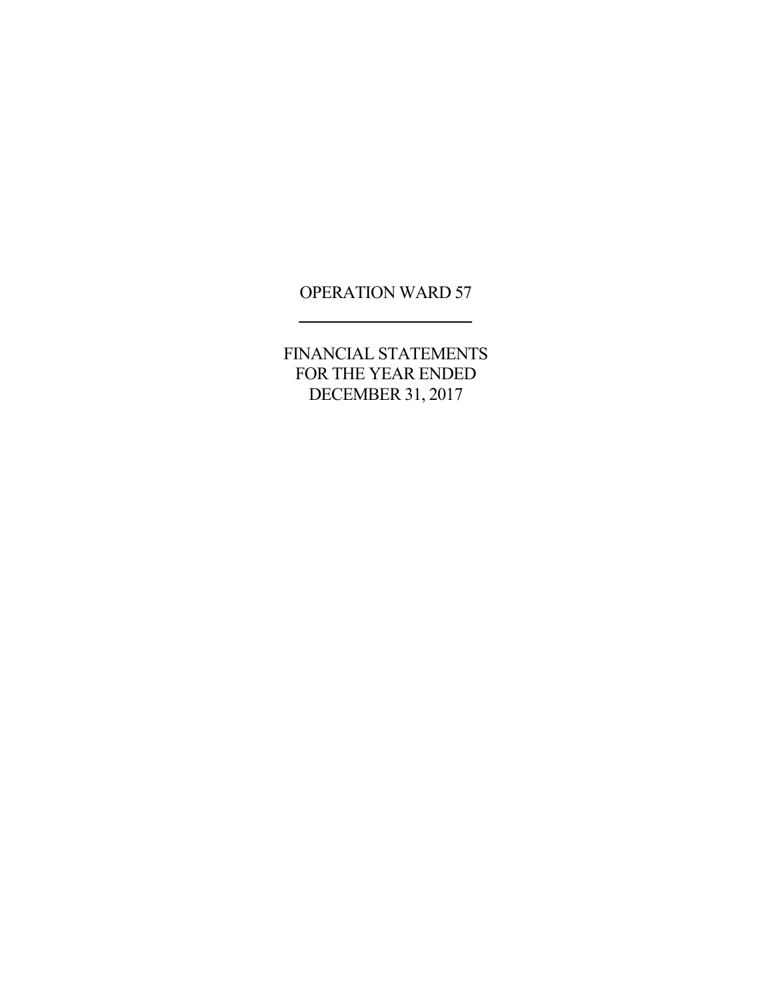FINANCIAL STATEMENTS FOR THE YEAR ENDED DECEMBER 31, 2017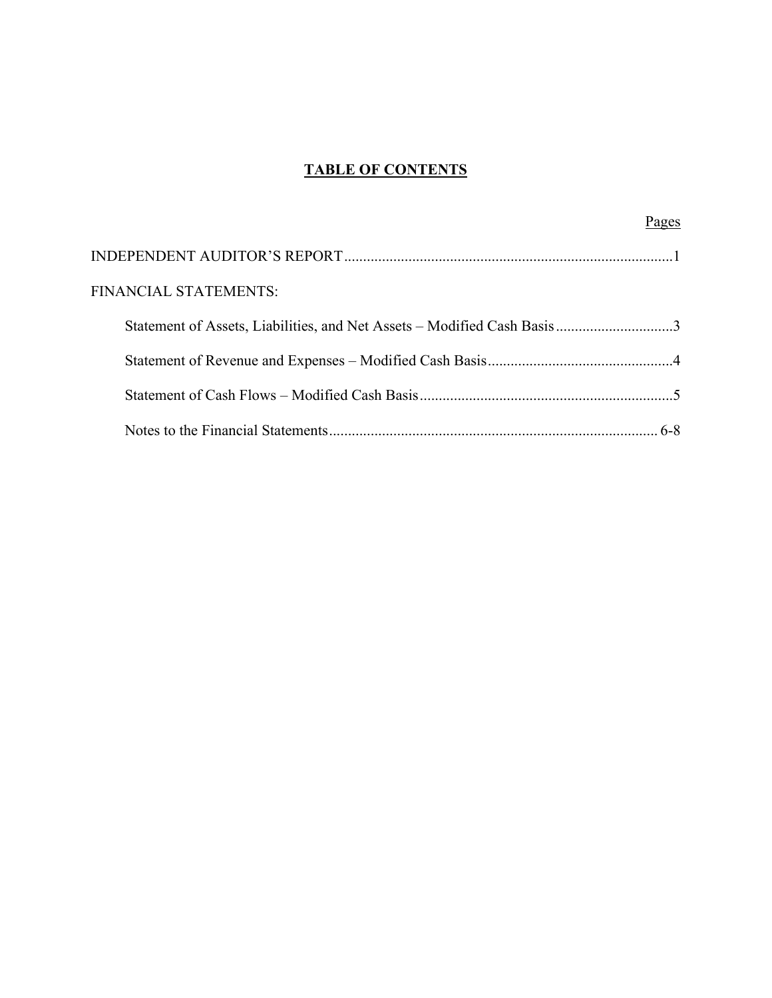# **TABLE OF CONTENTS**

|                                                                          | Pages |
|--------------------------------------------------------------------------|-------|
|                                                                          |       |
| <b>FINANCIAL STATEMENTS:</b>                                             |       |
| Statement of Assets, Liabilities, and Net Assets - Modified Cash Basis 3 |       |
|                                                                          |       |
|                                                                          |       |
|                                                                          |       |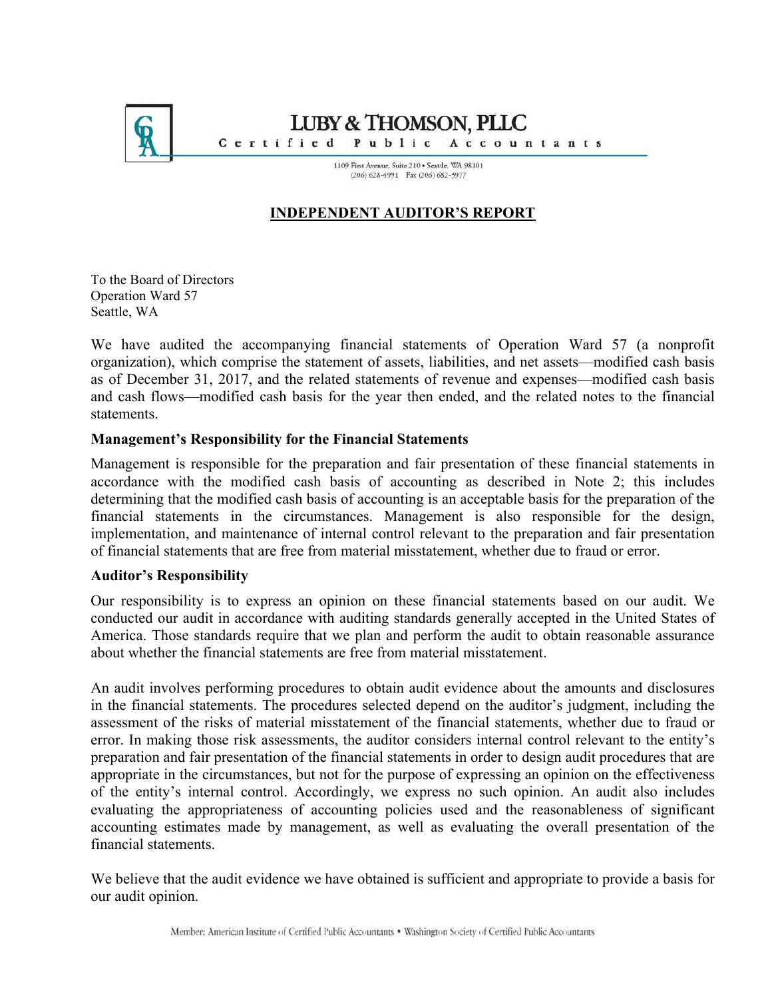

# LUBY & THOMSON, PLLC

Certified Public Accountants

> 1109 First Avenue, Suite 210 · Seattle, WA 98101 (206) 628-4991 Fax (206) 682-3977

# **INDEPENDENT AUDITOR'S REPORT**

To the Board of Directors Operation Ward 57 Seattle, WA

We have audited the accompanying financial statements of Operation Ward 57 (a nonprofit organization), which comprise the statement of assets, liabilities, and net assets—modified cash basis as of December 31, 2017, and the related statements of revenue and expenses—modified cash basis and cash flows—modified cash basis for the year then ended, and the related notes to the financial statements.

# **Management's Responsibility for the Financial Statements**

Management is responsible for the preparation and fair presentation of these financial statements in accordance with the modified cash basis of accounting as described in Note 2; this includes determining that the modified cash basis of accounting is an acceptable basis for the preparation of the financial statements in the circumstances. Management is also responsible for the design, implementation, and maintenance of internal control relevant to the preparation and fair presentation of financial statements that are free from material misstatement, whether due to fraud or error.

# **Auditor's Responsibility**

Our responsibility is to express an opinion on these financial statements based on our audit. We conducted our audit in accordance with auditing standards generally accepted in the United States of America. Those standards require that we plan and perform the audit to obtain reasonable assurance about whether the financial statements are free from material misstatement.

An audit involves performing procedures to obtain audit evidence about the amounts and disclosures in the financial statements. The procedures selected depend on the auditor's judgment, including the assessment of the risks of material misstatement of the financial statements, whether due to fraud or error. In making those risk assessments, the auditor considers internal control relevant to the entity's preparation and fair presentation of the financial statements in order to design audit procedures that are appropriate in the circumstances, but not for the purpose of expressing an opinion on the effectiveness of the entity's internal control. Accordingly, we express no such opinion. An audit also includes evaluating the appropriateness of accounting policies used and the reasonableness of significant accounting estimates made by management, as well as evaluating the overall presentation of the financial statements.

We believe that the audit evidence we have obtained is sufficient and appropriate to provide a basis for our audit opinion.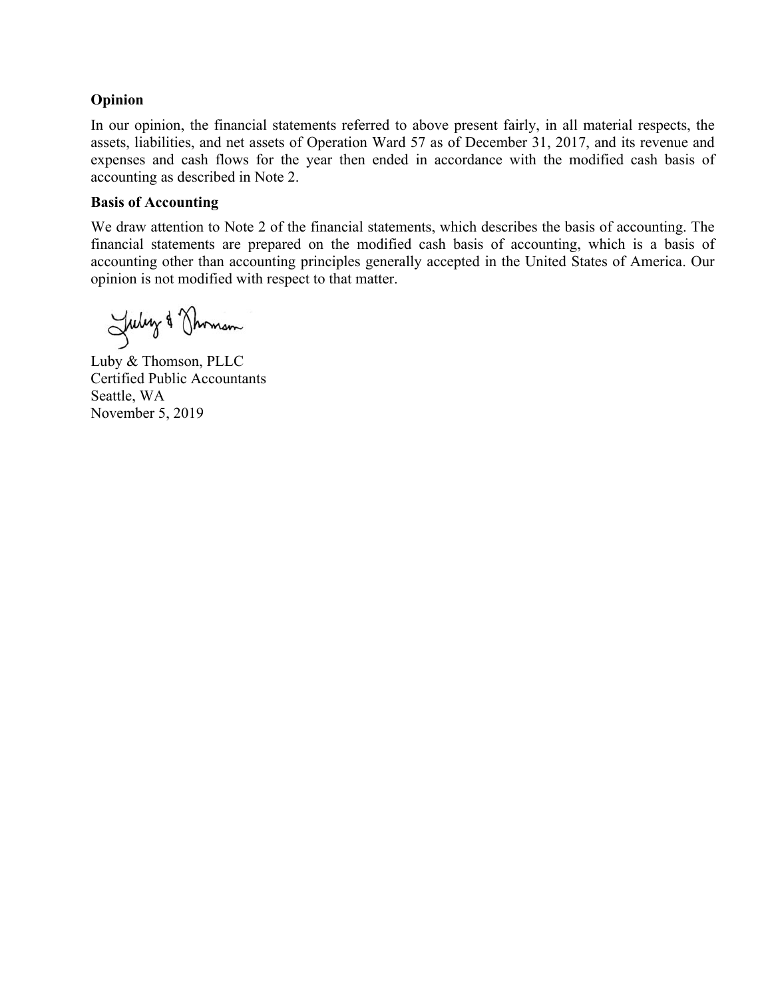# **Opinion**

In our opinion, the financial statements referred to above present fairly, in all material respects, the assets, liabilities, and net assets of Operation Ward 57 as of December 31, 2017, and its revenue and expenses and cash flows for the year then ended in accordance with the modified cash basis of accounting as described in Note 2.

# **Basis of Accounting**

We draw attention to Note 2 of the financial statements, which describes the basis of accounting. The financial statements are prepared on the modified cash basis of accounting, which is a basis of accounting other than accounting principles generally accepted in the United States of America. Our opinion is not modified with respect to that matter.

July & Thoman

Luby & Thomson, PLLC Certified Public Accountants Seattle, WA November 5, 2019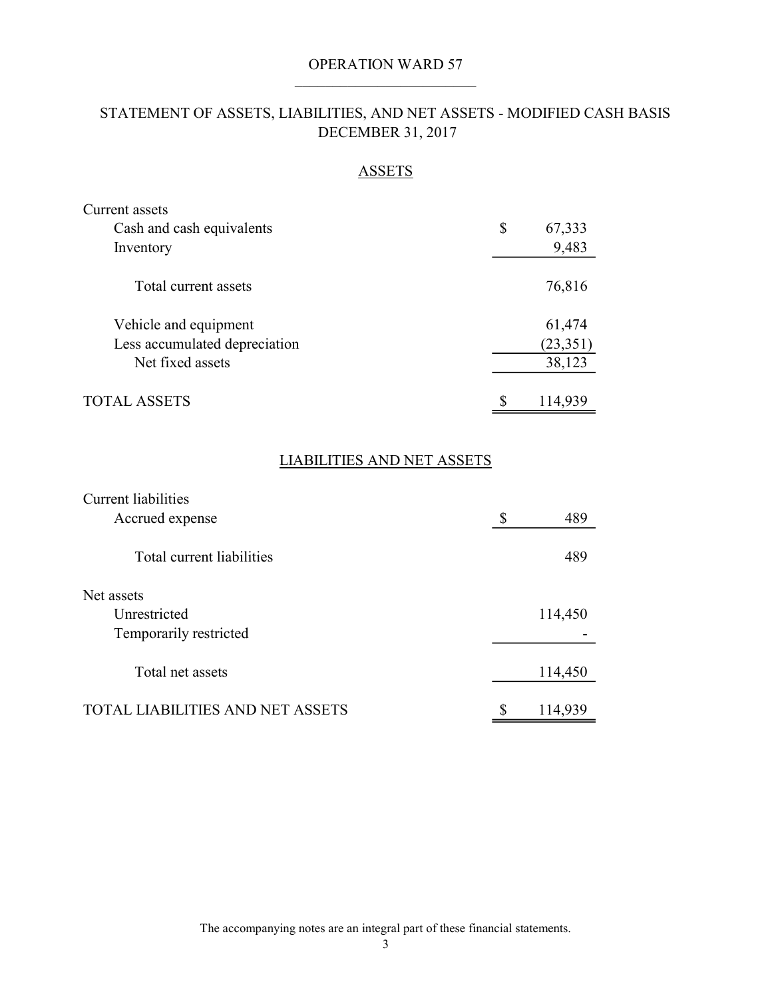# STATEMENT OF ASSETS, LIABILITIES, AND NET ASSETS - MODIFIED CASH BASIS DECEMBER 31, 2017

# **ASSETS**

| Current assets                |               |
|-------------------------------|---------------|
| Cash and cash equivalents     | \$<br>67,333  |
| Inventory                     | 9,483         |
| Total current assets          | 76,816        |
| Vehicle and equipment         | 61,474        |
| Less accumulated depreciation | (23, 351)     |
| Net fixed assets              | 38,123        |
| <b>TOTAL ASSETS</b>           | \$<br>114,939 |

#### LIABILITIES AND NET ASSETS

| <b>Current liabilities</b>                           |               |
|------------------------------------------------------|---------------|
| Accrued expense                                      | \$<br>489     |
| Total current liabilities                            | 489           |
| Net assets<br>Unrestricted<br>Temporarily restricted | 114,450       |
| Total net assets                                     | 114,450       |
| <b>TOTAL LIABILITIES AND NET ASSETS</b>              | \$<br>114,939 |

The accompanying notes are an integral part of these financial statements.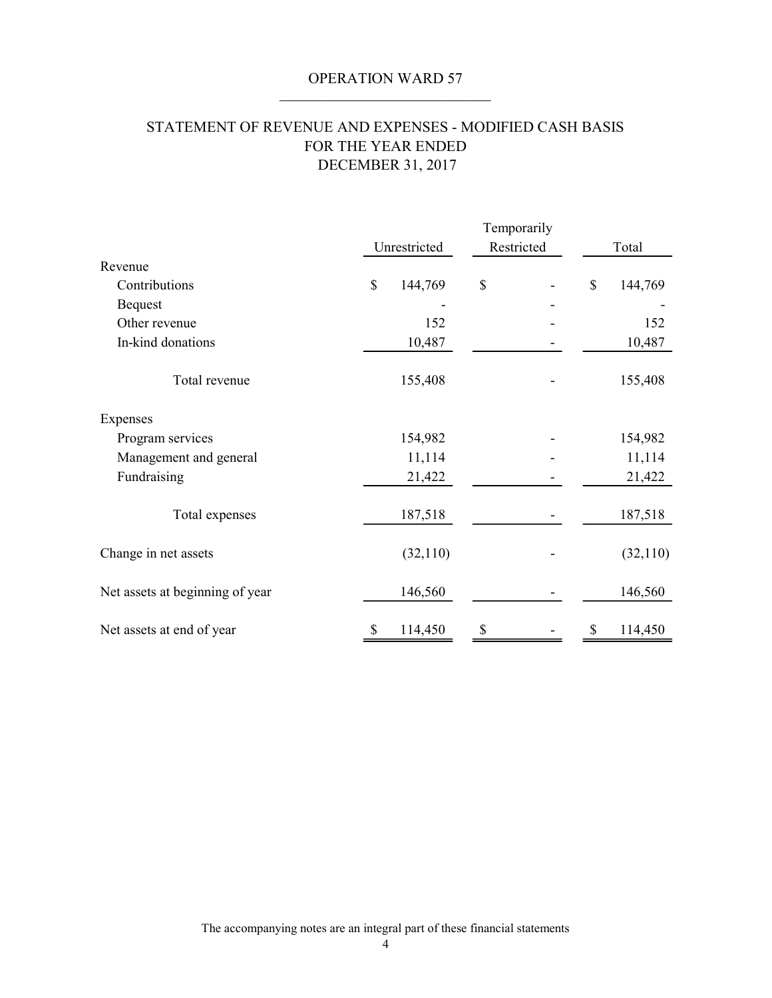# DECEMBER 31, 2017 STATEMENT OF REVENUE AND EXPENSES - MODIFIED CASH BASIS FOR THE YEAR ENDED

|                                 |              | Temporarily  |                           |            |    |          |
|---------------------------------|--------------|--------------|---------------------------|------------|----|----------|
|                                 |              | Unrestricted |                           | Restricted |    | Total    |
| Revenue                         |              |              |                           |            |    |          |
| Contributions                   | $\mathbb{S}$ | 144,769      | $\boldsymbol{\mathsf{S}}$ |            | \$ | 144,769  |
| <b>Bequest</b>                  |              |              |                           |            |    |          |
| Other revenue                   |              | 152          |                           |            |    | 152      |
| In-kind donations               |              | 10,487       |                           |            |    | 10,487   |
| Total revenue                   |              | 155,408      |                           |            |    | 155,408  |
| Expenses                        |              |              |                           |            |    |          |
| Program services                |              | 154,982      |                           |            |    | 154,982  |
| Management and general          |              | 11,114       |                           |            |    | 11,114   |
| Fundraising                     |              | 21,422       |                           |            |    | 21,422   |
| Total expenses                  |              | 187,518      |                           |            |    | 187,518  |
| Change in net assets            |              | (32,110)     |                           |            |    | (32,110) |
| Net assets at beginning of year |              | 146,560      |                           |            |    | 146,560  |
| Net assets at end of year       | S            | 114,450      | \$                        |            | \$ | 114,450  |

The accompanying notes are an integral part of these financial statements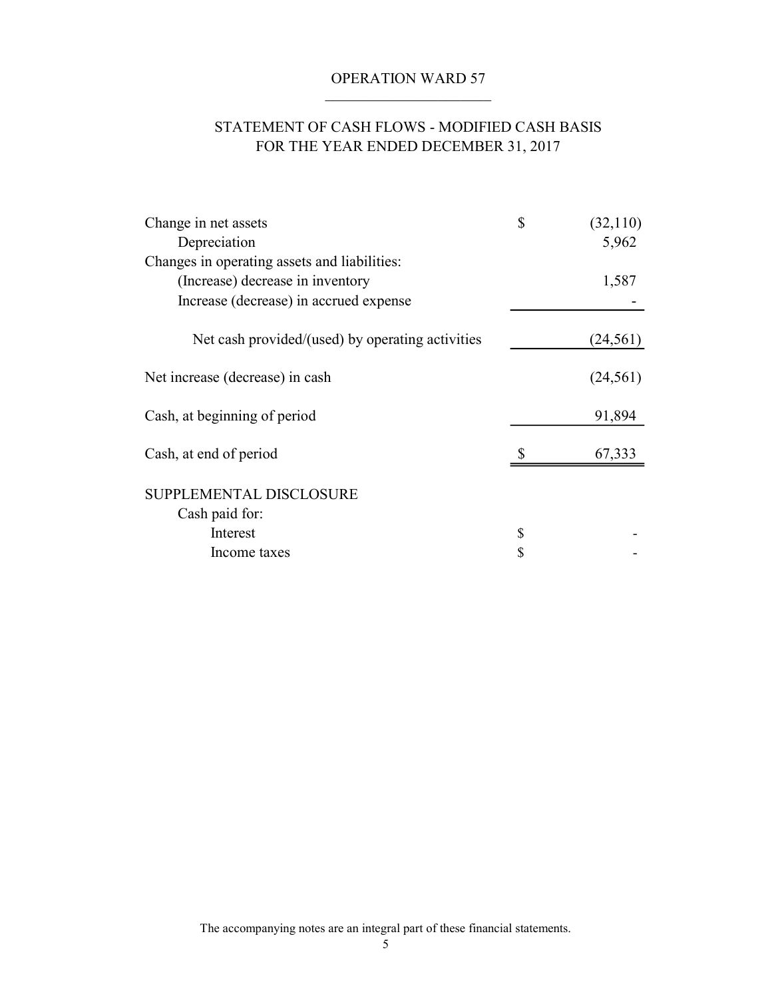# STATEMENT OF CASH FLOWS - MODIFIED CASH BASIS FOR THE YEAR ENDED DECEMBER 31, 2017

| Change in net assets                                         | \$<br>(32,110)<br>5,962 |
|--------------------------------------------------------------|-------------------------|
| Depreciation<br>Changes in operating assets and liabilities: |                         |
| (Increase) decrease in inventory                             | 1,587                   |
| Increase (decrease) in accrued expense                       |                         |
| Net cash provided/(used) by operating activities             | (24, 561)               |
| Net increase (decrease) in cash                              | (24, 561)               |
| Cash, at beginning of period                                 | 91,894                  |
| Cash, at end of period                                       | 67,333                  |
| SUPPLEMENTAL DISCLOSURE                                      |                         |
| Cash paid for:                                               |                         |
| Interest                                                     | \$                      |
| Income taxes                                                 | \$                      |

The accompanying notes are an integral part of these financial statements.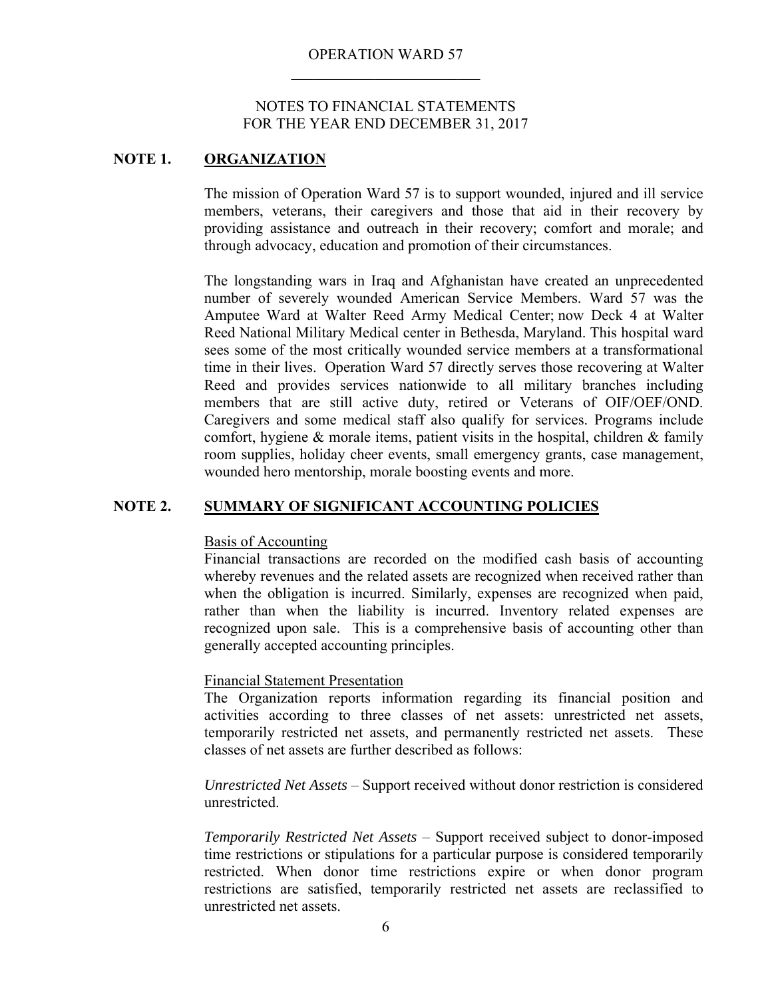# NOTES TO FINANCIAL STATEMENTS FOR THE YEAR END DECEMBER 31, 2017

### **NOTE 1. ORGANIZATION**

The mission of Operation Ward 57 is to support wounded, injured and ill service members, veterans, their caregivers and those that aid in their recovery by providing assistance and outreach in their recovery; comfort and morale; and through advocacy, education and promotion of their circumstances.

The longstanding wars in Iraq and Afghanistan have created an unprecedented number of severely wounded American Service Members. Ward 57 was the Amputee Ward at Walter Reed Army Medical Center; now Deck 4 at Walter Reed National Military Medical center in Bethesda, Maryland. This hospital ward sees some of the most critically wounded service members at a transformational time in their lives. Operation Ward 57 directly serves those recovering at Walter Reed and provides services nationwide to all military branches including members that are still active duty, retired or Veterans of OIF/OEF/OND. Caregivers and some medical staff also qualify for services. Programs include comfort, hygiene  $\&$  morale items, patient visits in the hospital, children  $\&$  family room supplies, holiday cheer events, small emergency grants, case management, wounded hero mentorship, morale boosting events and more.

#### **NOTE 2. SUMMARY OF SIGNIFICANT ACCOUNTING POLICIES**

#### Basis of Accounting

Financial transactions are recorded on the modified cash basis of accounting whereby revenues and the related assets are recognized when received rather than when the obligation is incurred. Similarly, expenses are recognized when paid, rather than when the liability is incurred. Inventory related expenses are recognized upon sale. This is a comprehensive basis of accounting other than generally accepted accounting principles.

#### Financial Statement Presentation

The Organization reports information regarding its financial position and activities according to three classes of net assets: unrestricted net assets, temporarily restricted net assets, and permanently restricted net assets. These classes of net assets are further described as follows:

*Unrestricted Net Assets* – Support received without donor restriction is considered unrestricted.

*Temporarily Restricted Net Assets* – Support received subject to donor-imposed time restrictions or stipulations for a particular purpose is considered temporarily restricted. When donor time restrictions expire or when donor program restrictions are satisfied, temporarily restricted net assets are reclassified to unrestricted net assets.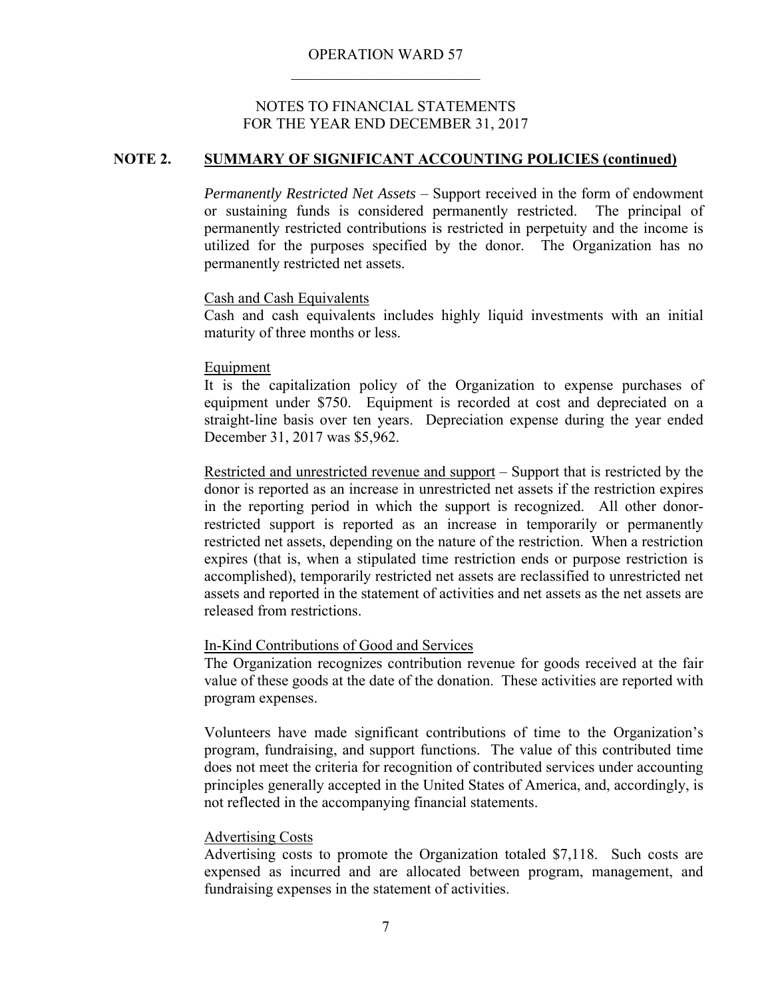# NOTES TO FINANCIAL STATEMENTS FOR THE YEAR END DECEMBER 31, 2017

# **NOTE 2. SUMMARY OF SIGNIFICANT ACCOUNTING POLICIES (continued)**

*Permanently Restricted Net Assets* – Support received in the form of endowment or sustaining funds is considered permanently restricted. The principal of permanently restricted contributions is restricted in perpetuity and the income is utilized for the purposes specified by the donor. The Organization has no permanently restricted net assets.

#### Cash and Cash Equivalents

Cash and cash equivalents includes highly liquid investments with an initial maturity of three months or less.

### Equipment

It is the capitalization policy of the Organization to expense purchases of equipment under \$750. Equipment is recorded at cost and depreciated on a straight-line basis over ten years. Depreciation expense during the year ended December 31, 2017 was \$5,962.

Restricted and unrestricted revenue and support – Support that is restricted by the donor is reported as an increase in unrestricted net assets if the restriction expires in the reporting period in which the support is recognized. All other donorrestricted support is reported as an increase in temporarily or permanently restricted net assets, depending on the nature of the restriction. When a restriction expires (that is, when a stipulated time restriction ends or purpose restriction is accomplished), temporarily restricted net assets are reclassified to unrestricted net assets and reported in the statement of activities and net assets as the net assets are released from restrictions.

# In-Kind Contributions of Good and Services

The Organization recognizes contribution revenue for goods received at the fair value of these goods at the date of the donation. These activities are reported with program expenses.

Volunteers have made significant contributions of time to the Organization's program, fundraising, and support functions. The value of this contributed time does not meet the criteria for recognition of contributed services under accounting principles generally accepted in the United States of America, and, accordingly, is not reflected in the accompanying financial statements.

#### Advertising Costs

Advertising costs to promote the Organization totaled \$7,118. Such costs are expensed as incurred and are allocated between program, management, and fundraising expenses in the statement of activities.